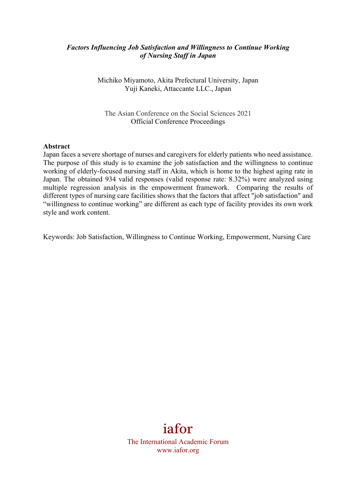## *Factors Influencing Job Satisfaction and Willingness to Continue Working of Nursing Staff in Japan*

Michiko Miyamoto, Akita Prefectural University, Japan Yuji Kaneki, Attaccante LLC., Japan

The Asian Conference on the Social Sciences 2021 Official Conference Proceedings

#### **Abstract**

Japan faces a severe shortage of nurses and caregivers for elderly patients who need assistance. The purpose of this study is to examine the job satisfaction and the willingness to continue working of elderly-focused nursing staff in Akita, which is home to the highest aging rate in Japan. The obtained 934 valid responses (valid response rate: 8.32%) were analyzed using multiple regression analysis in the empowerment framework. Comparing the results of different types of nursing care facilities shows that the factors that affect "job satisfaction" and "willingness to continue working" are different as each type of facility provides its own work style and work content.

Keywords: Job Satisfaction, Willingness to Continue Working, Empowerment, Nursing Care

# iafor

The International Academic Forum www.iafor.org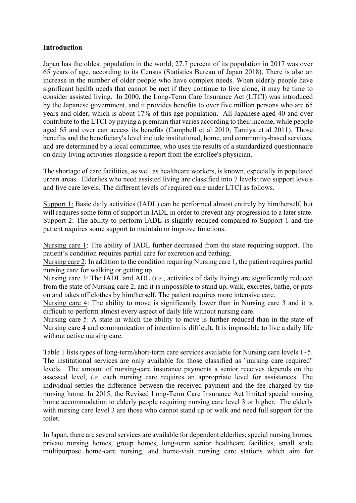## **Introduction**

Japan has the oldest population in the world; 27.7 percent of its population in 2017 was over 65 years of age, according to its Census (Statistics Bureau of Japan 2018). There is also an increase in the number of older people who have complex needs. When elderly people have significant health needs that cannot be met if they continue to live alone, it may be time to consider assisted living. In 2000, the Long-Term Care Insurance Act (LTCI) was introduced by the Japanese government, and it provides benefits to over five million persons who are 65 years and older, which is about 17% of this age population. All Japanese aged 40 and over contribute to the LTCI by paying a premium that varies according to their income, while people aged 65 and over can access its benefits (Campbell et al 2010; Tamiya et al 2011). Those benefits and the beneficiary's level include institutional, home, and community-based services, and are determined by a local committee, who uses the results of a standardized questionnaire on daily living activities alongside a report from the enrollee's physician.

The shortage of care facilities, as well as healthcare workers, is known, especially in populated urban areas. Elderlies who need assisted living are classified into 7 levels: two support levels and five care levels. The different levels of required care under LTCI as follows.

Support 1: Basic daily activities (IADL) can be performed almost entirely by him/herself, but will requires some form of support in IADL in order to prevent any progression to a later state. Support 2: The ability to perform IADL is slightly reduced compared to Support 1 and the patient requires some support to maintain or improve functions.

Nursing care 1: The ability of IADL further decreased from the state requiring support. The patient's condition requires partial care for excretion and bathing.

Nursing care 2: In addition to the condition requiring Nursing care 1, the patient requires partial nursing care for walking or getting up.

Nursing care 3: The IADL and ADL (*i.e.*, activities of daily living) are significantly reduced from the state of Nursing care 2, and it is impossible to stand up, walk, excretes, bathe, or puts on and takes off clothes by him/herself. The patient requires more intensive care.

Nursing care 4: The ability to move is significantly lower than in Nursing care 3 and it is difficult to perform almost every aspect of daily life without nursing care.

Nursing care 5: A state in which the ability to move is further reduced than in the state of Nursing care 4 and communication of intention is difficult. It is impossible to live a daily life without active nursing care.

Table 1 lists types of long-term/short-term care services available for Nursing care levels 1~5. The institutional services are only available for those classified as "nursing care required" levels. The amount of nursing-care insurance payments a senior receives depends on the assessed level, *i.e.* each nursing care requires an appropriate level for assistances. The individual settles the difference between the received payment and the fee charged by the nursing home. In 2015, the Revised Long-Term Care Insurance Act limited special nursing home accommodation to elderly people requiring nursing care level 3 or higher. The elderly with nursing care level 3 are those who cannot stand up or walk and need full support for the toilet.

In Japan, there are several services are available for dependent elderlies; special nursing homes, private nursing homes, group homes, long-term senior healthcare facilities, small scale multipurpose home-care nursing, and home-visit nursing care stations which aim for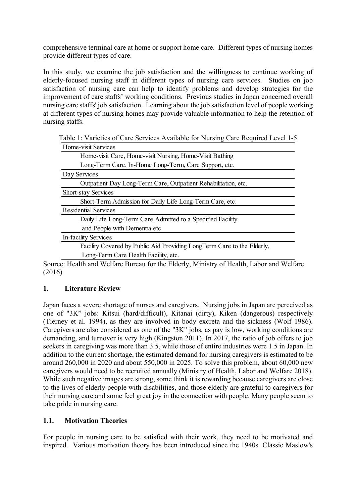comprehensive terminal care at home or support home care. Different types of nursing homes provide different types of care.

In this study, we examine the job satisfaction and the willingness to continue working of elderly-focused nursing staff in different types of nursing care services. Studies on job satisfaction of nursing care can help to identify problems and develop strategies for the improvement of care staffs' working conditions. Previous studies in Japan concerned overall nursing care staffs' job satisfaction. Learning about the job satisfaction level of people working at different types of nursing homes may provide valuable information to help the retention of nursing staffs.

Table 1: Varieties of Care Services Available for Nursing Care Required Level 1-5 Home-visit Services

Source: Health and Welfare Bureau for the Elderly, Ministry of Health, Labor and Welfare (2016)

# **1. Literature Review**

Japan faces a severe shortage of nurses and caregivers. Nursing jobs in Japan are perceived as one of "3K" jobs: Kitsui (hard/difficult), Kitanai (dirty), Kiken (dangerous) respectively (Tierney et al. 1994), as they are involved in body excreta and the sickness (Wolf 1986). Caregivers are also considered as one of the "3K" jobs, as pay is low, working conditions are demanding, and turnover is very high (Kingston 2011). In 2017, the ratio of job offers to job seekers in caregiving was more than 3.5, while those of entire industries were 1.5 in Japan. In addition to the current shortage, the estimated demand for nursing caregivers is estimated to be around 260,000 in 2020 and about 550,000 in 2025. To solve this problem, about 60,000 new caregivers would need to be recruited annually (Ministry of Health, Labor and Welfare 2018). While such negative images are strong, some think it is rewarding because caregivers are close to the lives of elderly people with disabilities, and those elderly are grateful to caregivers for their nursing care and some feel great joy in the connection with people. Many people seem to take pride in nursing care.

# **1.1. Motivation Theories**

For people in nursing care to be satisfied with their work, they need to be motivated and inspired. Various motivation theory has been introduced since the 1940s. Classic Maslow's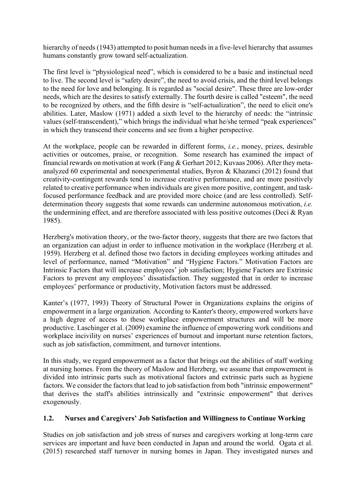hierarchy of needs (1943) attempted to posit human needs in a five-level hierarchy that assumes humans constantly grow toward self-actualization.

The first level is "physiological need", which is considered to be a basic and instinctual need to live. The second level is "safety desire", the need to avoid crisis, and the third level belongs to the need for love and belonging. It is regarded as "social desire". These three are low-order needs, which are the desires to satisfy externally. The fourth desire is called "esteem", the need to be recognized by others, and the fifth desire is "self-actualization", the need to elicit one's abilities. Later, Maslow (1971) added a sixth level to the hierarchy of needs: the "intrinsic values (self-transcendent)," which brings the individual what he/she termed "peak experiences" in which they transcend their concerns and see from a higher perspective.

At the workplace, people can be rewarded in different forms, *i.e.*, money, prizes, desirable activities or outcomes, praise, or recognition. Some research has examined the impact of financial rewards on motivation at work (Fang & Gerhart 2012; Kuvaas 2006). After they metaanalyzed 60 experimental and nonexperimental studies, Byron & Khazanci (2012) found that creativity-contingent rewards tend to increase creative performance, and are more positively related to creative performance when individuals are given more positive, contingent, and taskfocused performance feedback and are provided more choice (and are less controlled). Selfdetermination theory suggests that some rewards can undermine autonomous motivation, *i.e.* the undermining effect, and are therefore associated with less positive outcomes (Deci & Ryan 1985).

Herzberg's motivation theory, or the two-factor theory, suggests that there are two factors that an organization can adjust in order to influence motivation in the workplace (Herzberg et al. 1959). Herzberg et al. defined those two factors in deciding employees working attitudes and level of performance, named "Motivation" and "Hygiene Factors." Motivation Factors are Intrinsic Factors that will increase employees' job satisfaction; Hygiene Factors are Extrinsic Factors to prevent any employees' dissatisfaction. They suggested that in order to increase employees' performance or productivity, Motivation factors must be addressed.

Kanter's (1977, 1993) Theory of Structural Power in Organizations explains the origins of empowerment in a large organization. According to Kanter's theory, empowered workers have a high degree of access to these workplace empowerment structures and will be more productive. Laschinger et al. (2009) examine the influence of empowering work conditions and workplace incivility on nurses' experiences of burnout and important nurse retention factors, such as job satisfaction, commitment, and turnover intentions.

In this study, we regard empowerment as a factor that brings out the abilities of staff working at nursing homes. From the theory of Maslow and Herzberg, we assume that empowerment is divided into intrinsic parts such as motivational factors and extrinsic parts such as hygiene factors. We consider the factors that lead to job satisfaction from both "intrinsic empowerment" that derives the staff's abilities intrinsically and "extrinsic empowerment" that derives exogenously.

# **1.2. Nurses and Caregivers' Job Satisfaction and Willingness to Continue Working**

Studies on job satisfaction and job stress of nurses and caregivers working at long-term care services are important and have been conducted in Japan and around the world. Ogata et al. (2015) researched staff turnover in nursing homes in Japan. They investigated nurses and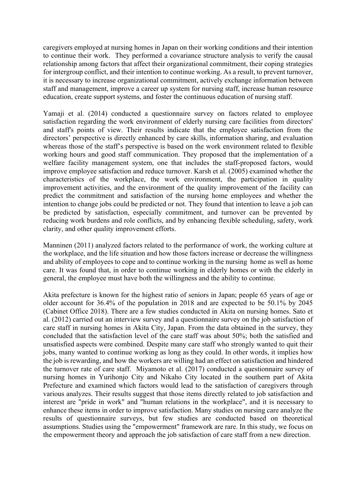caregivers employed at nursing homes in Japan on their working conditions and their intention to continue their work. They performed a covariance structure analysis to verify the causal relationship among factors that affect their organizational commitment, their coping strategies for intergroup conflict, and their intention to continue working. As a result, to prevent turnover, it is necessary to increase organizational commitment, actively exchange information between staff and management, improve a career up system for nursing staff, increase human resource education, create support systems, and foster the continuous education of nursing staff.

Yamaji et al. (2014) conducted a questionnaire survey on factors related to employee satisfaction regarding the work environment of elderly nursing care facilities from directors' and staff's points of view. Their results indicate that the employee satisfaction from the directors' perspective is directly enhanced by care skills, information sharing, and evaluation whereas those of the staff's perspective is based on the work environment related to flexible working hours and good staff communication. They proposed that the implementation of a welfare facility management system, one that includes the staff-proposed factors, would improve employee satisfaction and reduce turnover. Karsh et al. (2005) examined whether the characteristics of the workplace, the work environment, the participation in quality improvement activities, and the environment of the quality improvement of the facility can predict the commitment and satisfaction of the nursing home employees and whether the intention to change jobs could be predicted or not. They found that intention to leave a job can be predicted by satisfaction, especially commitment, and turnover can be prevented by reducing work burdens and role conflicts, and by enhancing flexible scheduling, safety, work clarity, and other quality improvement efforts.

Manninen (2011) analyzed factors related to the performance of work, the working culture at the workplace, and the life situation and how those factors increase or decrease the willingness and ability of employees to cope and to continue working in the nursing home as well as home care. It was found that, in order to continue working in elderly homes or with the elderly in general, the employee must have both the willingness and the ability to continue.

Akita prefecture is known for the highest ratio of seniors in Japan; people 65 years of age or older account for 36.4% of the population in 2018 and are expected to be 50.1% by 2045 (Cabinet Office 2018). There are a few studies conducted in Akita on nursing homes. Sato et al. (2012) carried out an interview survey and a questionnaire survey on the job satisfaction of care staff in nursing homes in Akita City, Japan. From the data obtained in the survey, they concluded that the satisfaction level of the care staff was about 50%; both the satisfied and unsatisfied aspects were combined. Despite many care staff who strongly wanted to quit their jobs, many wanted to continue working as long as they could. In other words, it implies how the job is rewarding, and how the workers are willing had an effect on satisfaction and hindered the turnover rate of care staff. Miyamoto et al. (2017) conducted a questionnaire survey of nursing homes in Yurihonjo City and Nikaho City located in the southern part of Akita Prefecture and examined which factors would lead to the satisfaction of caregivers through various analyzes. Their results suggest that those items directly related to job satisfaction and interest are "pride in work" and "human relations in the workplace", and it is necessary to enhance these items in order to improve satisfaction. Many studies on nursing care analyze the results of questionnaire surveys, but few studies are conducted based on theoretical assumptions. Studies using the "empowerment" framework are rare. In this study, we focus on the empowerment theory and approach the job satisfaction of care staff from a new direction.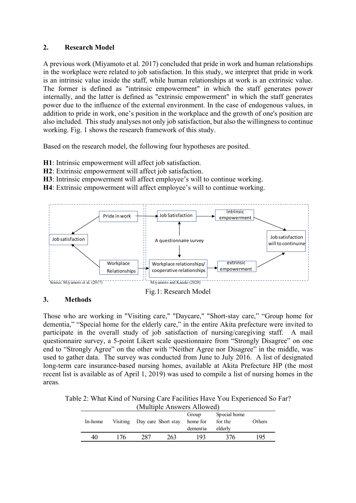## **2. Research Model**

A previous work (Miyamoto et al. 2017) concluded that pride in work and human relationships in the workplace were related to job satisfaction. In this study, we interpret that pride in work is an intrinsic value inside the staff, while human relationships at work is an extrinsic value. The former is defined as "intrinsic empowerment" in which the staff generates power internally, and the latter is defined as "extrinsic empowerment" in which the staff generates power due to the influence of the external environment. In the case of endogenous values, in addition to pride in work, one's position in the workplace and the growth of one's position are also included. This study analyses not only job satisfaction, but also the willingness to continue working. Fig. 1 shows the research framework of this study.

Based on the research model, the following four hypotheses are posited.

- **H1**: Intrinsic empowerment will affect job satisfaction.
- **H2**: Extrinsic empowerment will affect job satisfaction.
- **H3**: Intrinsic empowerment will affect employee's will to continue working.
- **H4**: Extrinsic empowerment will affect employee's will to continue working.



#### **3. Methods**

Those who are working in "Visiting care," "Daycare," "Short-stay care," "Group home for dementia," "Special home for the elderly care," in the entire Akita prefecture were invited to participate in the overall study of job satisfaction of nursing/caregiving staff. A mail questionnaire survey, a 5-point Likert scale questionnaire from "Strongly Disagree" on one end to "Strongly Agree" on the other with "Neither Agree nor Disagree" in the middle, was used to gather data. The survey was conducted from June to July 2016. A list of designated long-term care insurance-based nursing homes, available at Akita Prefecture HP (the most recent list is available as of April 1, 2019) was used to compile a list of nursing homes in the areas.

Table 2: What Kind of Nursing Care Facilities Have You Experienced So Far?  $(1)$   $(1)$   $(1)$   $(1)$ 

| (Muillipie Allswers Allowed) |          |                     |     |          |              |        |  |  |  |  |
|------------------------------|----------|---------------------|-----|----------|--------------|--------|--|--|--|--|
|                              |          |                     |     | Group    | Special home |        |  |  |  |  |
| In-home                      | Visiting | Day care Short stay |     | home for | for the      | Others |  |  |  |  |
|                              |          |                     |     | dementia | elderly      |        |  |  |  |  |
| 40                           | 76.      | 287                 | 263 | 193      | 376          | 195    |  |  |  |  |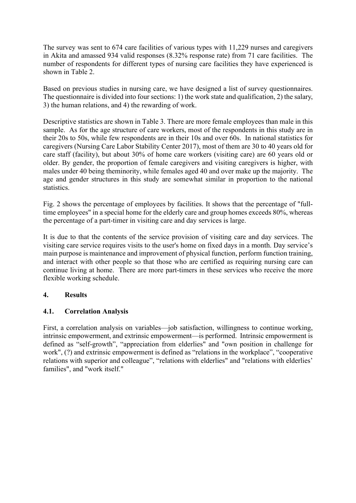The survey was sent to 674 care facilities of various types with 11,229 nurses and caregivers in Akita and amassed 934 valid responses (8.32% response rate) from 71 care facilities. The number of respondents for different types of nursing care facilities they have experienced is shown in Table 2.

Based on previous studies in nursing care, we have designed a list of survey questionnaires. The questionnaire is divided into four sections: 1) the work state and qualification, 2) the salary, 3) the human relations, and 4) the rewarding of work.

Descriptive statistics are shown in Table 3. There are more female employees than male in this sample. As for the age structure of care workers, most of the respondents in this study are in their 20s to 50s, while few respondents are in their 10s and over 60s. In national statistics for caregivers (Nursing Care Labor Stability Center 2017), most of them are 30 to 40 years old for care staff (facility), but about 30% of home care workers (visiting care) are 60 years old or older. By gender, the proportion of female caregivers and visiting caregivers is higher, with males under 40 being theminority, while females aged 40 and over make up the majority. The age and gender structures in this study are somewhat similar in proportion to the national statistics.

Fig. 2 shows the percentage of employees by facilities. It shows that the percentage of "fulltime employees" in a special home for the elderly care and group homes exceeds 80%, whereas the percentage of a part-timer in visiting care and day services is large.

It is due to that the contents of the service provision of visiting care and day services. The visiting care service requires visits to the user's home on fixed days in a month. Day service's main purpose is maintenance and improvement of physical function, perform function training, and interact with other people so that those who are certified as requiring nursing care can continue living at home. There are more part-timers in these services who receive the more flexible working schedule.

# **4. Results**

# **4.1. Correlation Analysis**

First, a correlation analysis on variables—job satisfaction, willingness to continue working, intrinsic empowerment, and extrinsic empowerment—is performed. Intrinsic empowerment is defined as "self-growth", "appreciation from elderlies" and "own position in challenge for work", (?) and extrinsic empowerment is defined as "relations in the workplace", "cooperative relations with superior and colleague", "relations with elderlies" and "relations with elderlies' families", and "work itself."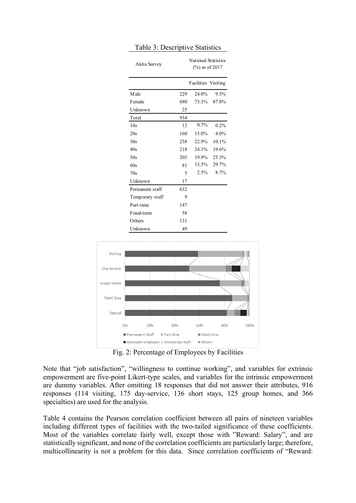| Akita Survey    | <b>National Statistics</b><br>$(\%)$ as of 2017 |                            |          |  |  |
|-----------------|-------------------------------------------------|----------------------------|----------|--|--|
|                 |                                                 | <b>Facilities</b> Visiting |          |  |  |
| <b>Male</b>     | 229                                             | 24.0%                      | 9.5%     |  |  |
| Female          | 680                                             | 73.3%                      | 87.8%    |  |  |
| Unknown         | 25                                              |                            |          |  |  |
| Total           | 934                                             |                            |          |  |  |
| 10s             | 12                                              | 0.7%                       | 0.2%     |  |  |
| 20s             | 160                                             | 15.0%                      | 4.0%     |  |  |
| 30s             | 238                                             | 22.9%                      | $10.1\%$ |  |  |
| 40s             | 218                                             | 24.1%                      | 19.6%    |  |  |
| 50s             | 203                                             | 19.9%                      | 25.3%    |  |  |
| 60s             | 81                                              | 13.5%                      | 29.7%    |  |  |
| 70s             | 5                                               | 2.5%                       | 8.7%     |  |  |
| Unknown         | 17                                              |                            |          |  |  |
| Permanent staff | 632                                             |                            |          |  |  |
| Temporary staff | 9                                               |                            |          |  |  |
| Part-time       | 147                                             |                            |          |  |  |
| Fixed-term      | 58                                              |                            |          |  |  |
| Others          | 131                                             |                            |          |  |  |
| Unknown         | 49                                              |                            |          |  |  |

#### Table 3: Descriptive Statistics



Fig. 2: Percentage of Employees by Facilities

Note that "job satisfaction", "willingness to continue working", and variables for extrinsic empowerment are five-point Likert-type scales, and variables for the intrinsic empowerment are dummy variables. After omitting 18 responses that did not answer their attributes, 916 responses (114 visiting, 175 day-service, 136 short stays, 125 group homes, and 366 specialties) are used for the analysis.

Table 4 contains the Pearson correlation coefficient between all pairs of nineteen variables including different types of facilities with the two-tailed significance of these coefficients. Most of the variables correlate fairly well, except those with "Reward: Salary", and are statistically significant, and none of the correlation coefficients are particularly large; therefore, multicollinearity is not a problem for this data. Since correlation coefficients of "Reward: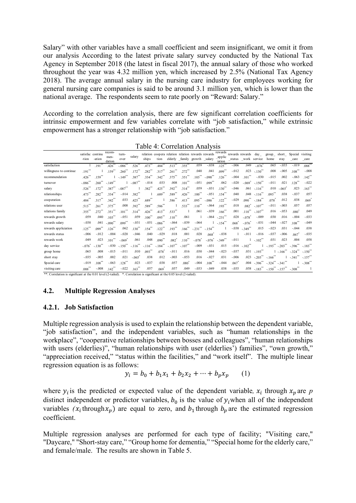Salary" with other variables have a small coefficient and seem insignificant, we omit it from our analysis According to the latest private salary survey conducted by the National Tax Agency in September 2018 (the latest in fiscal 2017), the annual salary of those who worked throughout the year was 4.32 million yen, which increased by 2.5% (National Tax Agency 2018). The average annual salary in the nursing care industry for employees working for general nursing care companies is said to be around 3.1 million yen, which is lower than the national average. The respondents seem to rate poorly on "Reward: Salary."

According to the correlation analysis, there are few significant correlation coefficients for intrinsic empowerment and few variables correlate with "job satisfaction," while extrinsic empowerment has a stronger relationship with "job satisfaction."

|                         |                        |                      |                       |                       |                       |                                                    |                      |                      |                       |                      |                       | rewards                                  |                     |                 |                       |                     |                       |                       |                       |
|-------------------------|------------------------|----------------------|-----------------------|-----------------------|-----------------------|----------------------------------------------------|----------------------|----------------------|-----------------------|----------------------|-----------------------|------------------------------------------|---------------------|-----------------|-----------------------|---------------------|-----------------------|-----------------------|-----------------------|
|                         | satisfac continu       |                      | recom-<br>men-        | turn-                 | salary                | relation coopera relation relation rewards rewards |                      |                      |                       |                      |                       |                                          |                     | rewards rewards | day                   | group               | short                 | Special               | visiting              |
|                         | -tion                  | -ation               | dation                | over                  |                       | ships                                              | tion                 | elderly              |                       |                      |                       | _family growth _salary _applic<br>iation | _status             | _work           | service               | home                | stay                  | _care                 | _care                 |
| satisfaction            |                        | $.191$ <sup>**</sup> | $.426$ **             | $-.086$ **            | $.526$ **             | .473**                                             | .484**               | $.513$ **            | $.355$ **             | .059                 | $-.038$               | $.125$ **                                | $-.006$             | .049            | $-.076$ <sup>*</sup>  | .065                | $-.035$               | $-0.019$              | $.088**$              |
| willingness to continue | $.191$ <sup>**</sup>   |                      | $.159**$              | .260                  | $.172$ **             | $.282$ **                                          | $.317$ **            | .261                 | $.272$ **             | .040                 | .041                  | $.099***$                                | $-0.012$            | .023            | $-.130$ <sup>**</sup> | .008                | $-.005$               | $.108^{**}$           | $-.008$               |
| recommendation          | .426                   | $.159**$             |                       | $-.149$ <sup>**</sup> | .387**                | $.334$ <sup>*</sup>                                | $.342$ **            | $.375$ **            | $.351$ **             | .103                 | $-.090]$              | $126$ **                                 | $-.004$             | 101             | $-.030$               | $-0.015$            | .002                  | $-.063$               | $.142$ <sup>**</sup>  |
| turnover                | $-0.086$ <sup>**</sup> | $.260$ <sup>**</sup> | $-.149$ <sup>**</sup> |                       | $-.087$ <sup>**</sup> | $-.014$                                            | .033                 | .008                 | $.101$ **             | $-.051$              | $.099**$              | .062                                     | $-.020$             | $-.069"$        | $-.150$ <sup>**</sup> | $-.011$             | .021                  | $.128**$              | $-.022$               |
| salary                  | .526                   | .172                 | .387                  | $-.087$ <sup>**</sup> |                       | .382**                                             | $.425$ **            | $.392$ **            | $.314$ <sup>**</sup>  | .059                 | $-.031$               | $.130^{**}$                              | $-.046$             | .061            | $-.116$               | .010                | $-065$                | .023                  | $.163$ <sup>**</sup>  |
| relationships           | $.473$ **              | $.282$ **            | $.334**$              | $-.014$               | $.382**$              |                                                    | $.689^{**}$          | $.589^{**}$          | $.426^{44}$           | $.100^{44}$          | $-.051$               | $.154$ **                                | .040                | .048            | $-.116$ <sup>**</sup> | $.093**$            | .038                  | $-.037$               | .057                  |
| cooperation             | .484                   | .317                 | $.342$ <sup>**</sup>  | .033                  | $.425$ **             | $.689^{**}$                                        |                      | .586                 | $.413$ <sup>**</sup>  | .095                 | $-.086$               | $.122$ <sup>**</sup>                     | $-.029$             | .090            | $-.184]$              | $.078$ <sup>*</sup> | .012                  | .038                  | .069                  |
| relations user          | $.513$ **              | 261                  | $.375$ **             | .008                  | .392**                | $.589$ <sup>**</sup>                               | $.586^{**}$          |                      | .533**                | $.110^{44}$          | $-.064$               | $.193$ <sup>**</sup>                     | .018                | .082            | $-.107$ <sup>**</sup> | $-.011$             | $-.003$               | .057                  | .057                  |
| relations family        | $.355$ **              | 272                  | 351"                  | $.101$ <sup>**</sup>  | $.314$ <sup>-1</sup>  | .426                                               | $.413$ <sup>**</sup> | .533**               |                       | .061                 | $-.039$               | $.166$ <sup>**</sup>                     | .001                | .110            | $-.107$ <sup>**</sup> | .016                | $-.053$               | $.080$ <sup>*</sup>   | .049                  |
| rewards growth          | .059                   | .040                 | $103$ <sup>**</sup>   | $-.051$               | .059                  | $.100$ <sup>**</sup>                               | $.095$ **            | $.110^{**}$          | .061                  |                      | $-.064$               | $-.231$ <sup>**</sup>                    | .028                | $-.078$         | $-.009$               | .030                | .016                  | $-.004$               | $-.033$               |
| rewards salary          | $-.038$                | .041                 | $-.090$ <sup>**</sup> | $.099**$              | $-.031$               | $-.051$                                            | $-.086"$             | $-.064$              | $-.039$               | $-.064$              |                       | $-.154"$                                 | .068"               | $-.076"$        | $-.031$               | $-.044$             | $-.027$               | $.108***$             | $-.049$               |
| rewards appliciation    | $125$ <sup>**</sup>    | 099                  | .126                  | .062                  | $.130^{**}$           | .154                                               | $.122$ <sup>*</sup>  | $.193$ <sup>**</sup> | .166                  | $-.231$              | $-.154$ <sup>**</sup> |                                          | $-.038$             | $-349$          | .015                  | $-.023$             | .031                  | $-.044$               | .038                  |
| rewards status          | $-.006$                | $-.012$              | $-.004$               | $-.020$               | $-.046$               | .040                                               | $-.029$              | .018                 | .001                  | .028                 | $.068^{\degree}$      | $-.038$                                  |                     | $-.011$         | $-.016$               | $-.037$             | $-.006$               | $.067$ <sup>*</sup>   | $-.035$               |
| rewards work            | .049                   | .023                 | .101                  | $-.069$               | .061                  | .048                                               | $.090^{**}$          | .082                 | $.110^{-}$            | $-.078$ <sup>*</sup> | $-.076$ <sup>*</sup>  | $-.349$ <sup>**</sup>                    | $-.011$             |                 | $-.102$ **            | .031                | .023                  | .004                  | .058                  |
| day service             | $-076$                 | $-130^{7}$           | $-.030$               | $-.150$               | $-116$                | $-116$                                             | $-.184]$             | $-.107$              | $-.107$ <sup>**</sup> | $-.009$              | $-.031$               | .015                                     | $-.016$             | $-102$          |                       | $-193$ **           | $-.203$               | $-396$                | $-.183$ <sup>**</sup> |
| group home              | .065                   | .008                 | $-.015$               | $-.011$               | .010                  | $.093**$                                           | .078"                | $-.011$              | .016                  | .030                 | $-.044$               | $-.023$                                  | $-.037$             | .031            | $-.193$ <sup>**</sup> |                     | $-.166$ <sup>**</sup> | $-324$                | $-.150$ <sup>**</sup> |
| short stay              | $-.035$                | $-.005$              | .002                  | .021                  | $-.065$               | .038                                               | .012                 | $-.003$              | $-.053$               | .016                 | $-.027$               | .031                                     | $-.006$             | .023            | $-.203$ <sup>*</sup>  | $-166$              |                       | $-341$                | $-.157$ <sup>**</sup> |
| Special care            | $-.019$                | $.108***$            | $-.063$               | $.128**$              | .023                  | $-.037$                                            | .038                 | .057                 | .080"                 | $-.004$              | .108                  | $-0.044$                                 | $.067$ <sup>*</sup> | .004            | $-.396$               | $-.324$ $-.341$     |                       |                       | $-.308$ **            |
| visiting care           | $.088***$              | $-.008$              | $.142$ <sup>**</sup>  | $-.022$               | $.163$ **             | .057                                               | $.069$ <sup>-1</sup> | .057                 | .049                  | $-.033$              | $-.049$               | .038                                     | $-.035$             | .058            | $-.183$ <sup>*</sup>  | $-150$ $-157$       |                       | $-.308$ <sup>**</sup> |                       |

Table 4: Correlation Analysis

\*\*. Correlation is significant at the 0.01 level (2-tailed). \*. Correlation is significant at the 0.05 level (2-tailed).

## **4.2. Multiple Regression Analyses**

#### **4.2.1. Job Satisfaction**

Multiple regression analysis is used to explain the relationship between the dependent variable, "job satisfaction", and the independent variables, such as "human relationships in the workplace", "cooperative relationships between bosses and colleagues", "human relationships with users (elderlies)", "human relationships with user (elderlies') families", "own growth," "appreciation received," "status within the facilities," and "work itself". The multiple linear regression equation is as follows:

$$
y_i = b_0 + b_1 x_1 + b_2 x_2 + \dots + b_p x_p \qquad (1)
$$

where  $y_i$  is the predicted or expected value of the dependent variable,  $x_i$  through  $x_p$  are  $p$ distinct independent or predictor variables,  $b_0$  is the value of  $y_i$  when all of the independent variables  $(x_i$  through  $x_n$ ) are equal to zero, and  $b_1$  through  $b_n$  are the estimated regression coefficient.

Multiple regression analyses are performed for each type of facility; "Visiting care," "Daycare," "Short-stay care," "Group home for dementia," "Special home for the elderly care," and female/male. The results are shown in Table 5.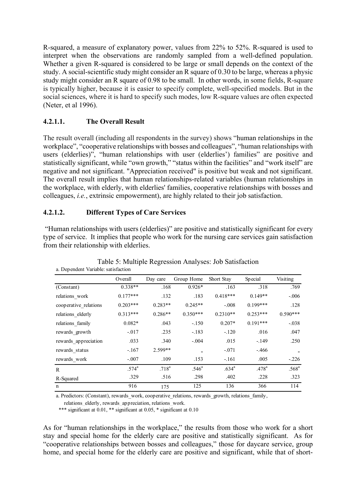R-squared, a measure of explanatory power, values from 22% to 52%. R-squared is used to interpret when the observations are randomly sampled from a well-defined population. Whether a given R-squared is considered to be large or small depends on the context of the study. A social-scientific study might consider an R square of 0.30 to be large, whereas a physic study might consider an R square of 0.98 to be small. In other words, in some fields, R-square is typically higher, because it is easier to specify complete, well-specified models. But in the social sciences, where it is hard to specify such modes, low R-square values are often expected (Neter, et al 1996).

# **4.2.1.1. The Overall Result**

The result overall (including all respondents in the survey) shows "human relationships in the workplace", "cooperative relationships with bosses and colleagues", "human relationships with users (elderlies)", "human relationships with user (elderlies') families" are positive and statistically significant, while "own growth," "status within the facilities" and "work itself" are negative and not significant. "Appreciation received" is positive but weak and not significant. The overall result implies that human relationships-related variables (human relationships in the workplace, with elderly, with elderlies' families, cooperative relationships with bosses and colleagues, *i.e.*, extrinsic empowerment), are highly related to their job satisfaction.

# **4.2.1.2. Different Types of Care Services**

"Human relationships with users (elderlies)" are positive and statistically significant for every type of service. It implies that people who work for the nursing care services gain satisfaction from their relationship with elderlies.

| a. Dependent variable, satisfaction |                |            |                   |            |                   |                |
|-------------------------------------|----------------|------------|-------------------|------------|-------------------|----------------|
|                                     | Overall        | Day care   | Group Home        | Short Stay | Special           | Visiting       |
| (Constant)                          | $0.338**$      | .168       | $0.926*$          | .163       | .318              | .769           |
| relations work                      | $0.177***$     | .132       | .183              | $0.418***$ | $0.149**$         | $-.006$        |
| cooperative_relations               | $0.203***$     | $0.283**$  | $0.245**$         | $-.008$    | $0.199***$        | .128           |
| relations_elderly                   | $0.313***$     | $0.286**$  | $0.350***$        | $0.2310**$ | $0.253***$        | $0.590***$     |
| relations family                    | $0.082*$       | .043       | $-.150$           | $0.207*$   | $0.191***$        | $-.038$        |
| rewards growth                      | $-.017$        | .235       | $-.183$           | $-.120$    | .016              | .047           |
| rewards appreciation                | .033           | .340       | $-.004$           | .015       | $-.149$           | .250           |
| rewards status                      | $-.167$        | $2.599**$  |                   | $-.071$    | $-.466$           |                |
| rewards_work                        | $-.007$        | .109       | .153              | $-.161$    | .005              | $-.226$        |
| $\mathsf{R}$                        | $.574^{\circ}$ | $.718^{a}$ | .546 <sup>a</sup> | $.634^{a}$ | .478 <sup>a</sup> | $.568^{\circ}$ |
| R-Squared                           | .329           | .516       | .298              | .402       | .228              | .323           |
| n                                   | 916            | 175        | 125               | 136        | 366               | 114            |

Table 5: Multiple Regression Analyses: Job Satisfaction a. Dependent Variable: satisfaction

a. Predictors: (Constant), rewards\_work, cooperative\_relations, rewards\_growth, relations\_family, relations elderly, rewards appreciation, relations work.

\*\*\* significant at 0.01, \*\* significant at 0.05, \* significant at 0.10

As for "human relationships in the workplace," the results from those who work for a short stay and special home for the elderly care are positive and statistically significant. As for "cooperative relationships between bosses and colleagues," those for daycare service, group home, and special home for the elderly care are positive and significant, while that of short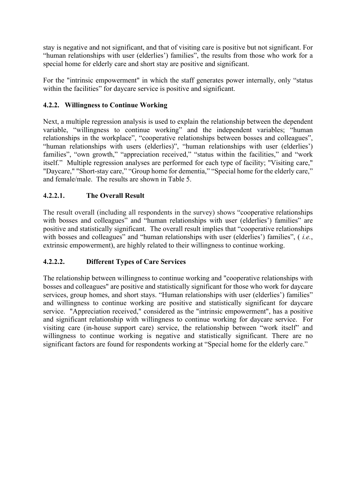stay is negative and not significant, and that of visiting care is positive but not significant. For "human relationships with user (elderlies') families", the results from those who work for a special home for elderly care and short stay are positive and significant.

For the "intrinsic empowerment" in which the staff generates power internally, only "status within the facilities" for daycare service is positive and significant.

# **4.2.2. Willingness to Continue Working**

Next, a multiple regression analysis is used to explain the relationship between the dependent variable, "willingness to continue working" and the independent variables; "human relationships in the workplace", "cooperative relationships between bosses and colleagues", "human relationships with users (elderlies)", "human relationships with user (elderlies') families", "own growth," "appreciation received," "status within the facilities," and "work itself." Multiple regression analyses are performed for each type of facility; "Visiting care," "Daycare," "Short-stay care," "Group home for dementia," "Special home for the elderly care," and female/male. The results are shown in Table 5.

# **4.2.2.1. The Overall Result**

The result overall (including all respondents in the survey) shows "cooperative relationships with bosses and colleagues" and "human relationships with user (elderlies') families" are positive and statistically significant. The overall result implies that "cooperative relationships with bosses and colleagues" and "human relationships with user (elderlies') families", ( *i.e.*, extrinsic empowerment), are highly related to their willingness to continue working.

# **4.2.2.2. Different Types of Care Services**

The relationship between willingness to continue working and "cooperative relationships with bosses and colleagues" are positive and statistically significant for those who work for daycare services, group homes, and short stays. "Human relationships with user (elderlies') families" and willingness to continue working are positive and statistically significant for daycare service. "Appreciation received," considered as the "intrinsic empowerment", has a positive and significant relationship with willingness to continue working for daycare service. For visiting care (in-house support care) service, the relationship between "work itself" and willingness to continue working is negative and statistically significant. There are no significant factors are found for respondents working at "Special home for the elderly care."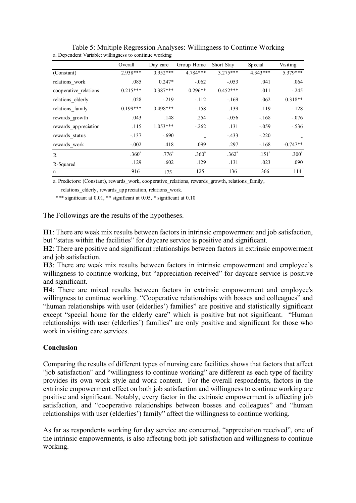|                       | Overall           | Day care       | Group Home        | Short Stay        | Special           | Visiting          |
|-----------------------|-------------------|----------------|-------------------|-------------------|-------------------|-------------------|
| (Constant)            | 2.938***          | $0.952***$     | 4.784***          | $3.275***$        | $4.343***$        | $5.379***$        |
| relations work        | .085              | $0.247*$       | $-.062$           | $-.053$           | .041              | .064              |
| cooperative relations | $0.215***$        | $0.387***$     | $0.296**$         | $0.452***$        | .011              | $-.245$           |
| relations elderly     | .028              | $-219$         | $-.112$           | $-169$            | .062              | $0.318**$         |
| relations family      | $0.199***$        | $0.498***$     | $-.158$           | .139              | .119              | $-.128$           |
| rewards growth        | .043              | .148           | .254              | $-.056$           | $-.168$           | $-.076$           |
| rewards appreciation  | .115              | $1.053***$     | $-.262$           | .131              | $-.059$           | $-.536$           |
| rewards_status        | $-.137$           | $-.690$        |                   | $-433$            | $-.220$           |                   |
| rewards_work          | $-.002$           | .418           | .099              | .297              | $-.168$           | $-0.747**$        |
| R                     | .360 <sup>a</sup> | $.776^{\rm a}$ | .360 <sup>a</sup> | .362 <sup>a</sup> | .151 <sup>a</sup> | .300 <sup>a</sup> |
| R-Squared             | .129              | .602           | .129              | .131              | .023              | .090              |
| n                     | 916               | 175            | 125               | 136               | 366               | 114               |

Table 5: Multiple Regression Analyses: Willingness to Continue Working a. Dependent Variable: willingness to continue working

a. Predictors: (Constant), rewards\_work, cooperative\_relations, rewards\_growth, relations\_family,

relations elderly, rewards appreciation, relations work.

\*\*\* significant at 0.01, \*\* significant at 0.05, \* significant at 0.10

The Followings are the results of the hypotheses.

**H1**: There are weak mix results between factors in intrinsic empowerment and job satisfaction, but "status within the facilities" for daycare service is positive and significant.

**H2**: There are positive and significant relationships between factors in extrinsic empowerment and job satisfaction.

**H3**: There are weak mix results between factors in intrinsic empowerment and employee's willingness to continue working, but "appreciation received" for daycare service is positive and significant.

**H4**: There are mixed results between factors in extrinsic empowerment and employee's willingness to continue working. "Cooperative relationships with bosses and colleagues" and "human relationships with user (elderlies') families" are positive and statistically significant except "special home for the elderly care" which is positive but not significant. "Human relationships with user (elderlies') families" are only positive and significant for those who work in visiting care services.

#### **Conclusion**

Comparing the results of different types of nursing care facilities shows that factors that affect "job satisfaction" and "willingness to continue working" are different as each type of facility provides its own work style and work content. For the overall respondents, factors in the extrinsic empowerment effect on both job satisfaction and willingness to continue working are positive and significant. Notably, every factor in the extrinsic empowerment is affecting job satisfaction, and "cooperative relationships between bosses and colleagues" and "human relationships with user (elderlies') family" affect the willingness to continue working.

As far as respondents working for day service are concerned, "appreciation received", one of the intrinsic empowerments, is also affecting both job satisfaction and willingness to continue working.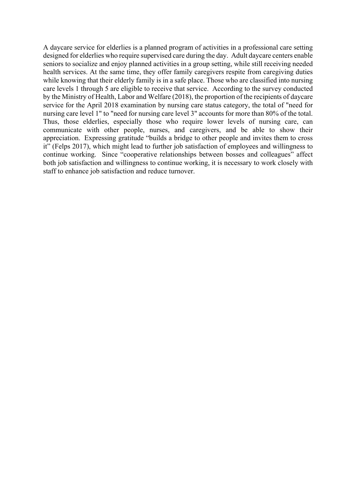A daycare service for elderlies is a planned program of activities in a professional care setting designed for elderlies who require supervised care during the day. Adult daycare centers enable seniors to socialize and enjoy planned activities in a group setting, while still receiving needed health services. At the same time, they offer family caregivers respite from caregiving duties while knowing that their elderly family is in a safe place. Those who are classified into nursing care levels 1 through 5 are eligible to receive that service. According to the survey conducted by the Ministry of Health, Labor and Welfare (2018), the proportion of the recipients of daycare service for the April 2018 examination by nursing care status category, the total of "need for nursing care level 1" to "need for nursing care level 3" accounts for more than 80% of the total. Thus, those elderlies, especially those who require lower levels of nursing care, can communicate with other people, nurses, and caregivers, and be able to show their appreciation. Expressing gratitude "builds a bridge to other people and invites them to cross it" (Felps 2017), which might lead to further job satisfaction of employees and willingness to continue working. Since "cooperative relationships between bosses and colleagues" affect both job satisfaction and willingness to continue working, it is necessary to work closely with staff to enhance job satisfaction and reduce turnover.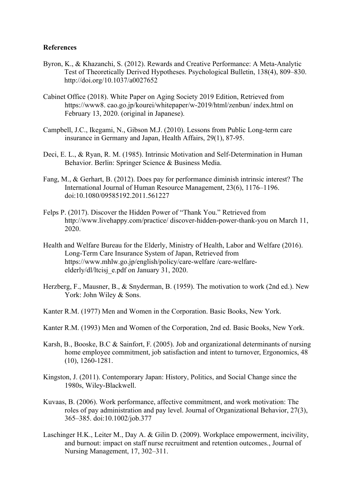#### **References**

- Byron, K., & Khazanchi, S. (2012). Rewards and Creative Performance: A Meta-Analytic Test of Theoretically Derived Hypotheses. Psychological Bulletin, 138(4), 809–830. http://doi.org/10.1037/a0027652
- Cabinet Office (2018). White Paper on Aging Society 2019 Edition, Retrieved from https://www8. cao.go.jp/kourei/whitepaper/w-2019/html/zenbun/ index.html on February 13, 2020. (original in Japanese).
- Campbell, J.C., Ikegami, N., Gibson M.J. (2010). Lessons from Public Long-term care insurance in Germany and Japan, Health Affairs, 29(1), 87-95.
- Deci, E. L., & Ryan, R. M. (1985). Intrinsic Motivation and Self-Determination in Human Behavior. Berlin: Springer Science & Business Media.
- Fang, M., & Gerhart, B. (2012). Does pay for performance diminish intrinsic interest? The International Journal of Human Resource Management, 23(6), 1176–1196. doi:10.1080/09585192.2011.561227
- Felps P. (2017). Discover the Hidden Power of "Thank You." Retrieved from http://www.livehappy.com/practice/ discover-hidden-power-thank-you on March 11, 2020.
- Health and Welfare Bureau for the Elderly, Ministry of Health, Labor and Welfare (2016). Long-Term Care Insurance System of Japan, Retrieved from https://www.mhlw.go.jp/english/policy/care-welfare /care-welfareelderly/dl/ltcisj\_e.pdf on January 31, 2020.
- Herzberg, F., Mausner, B., & Snyderman, B. (1959). The motivation to work (2nd ed.). New York: John Wiley & Sons.
- Kanter R.M. (1977) Men and Women in the Corporation. Basic Books, New York.
- Kanter R.M. (1993) Men and Women of the Corporation, 2nd ed. Basic Books, New York.
- Karsh, B., Booske, B.C & Sainfort, F. (2005). Job and organizational determinants of nursing home employee commitment, job satisfaction and intent to turnover, Ergonomics, 48 (10), 1260-1281.
- Kingston, J. (2011). Contemporary Japan: History, Politics, and Social Change since the 1980s, Wiley-Blackwell.
- Kuvaas, B. (2006). Work performance, affective commitment, and work motivation: The roles of pay administration and pay level. Journal of Organizational Behavior, 27(3), 365–385. doi:10.1002/job.377
- Laschinger H.K., Leiter M., Day A. & Gilin D. (2009). Workplace empowerment, incivility, and burnout: impact on staff nurse recruitment and retention outcomes., Journal of Nursing Management, 17, 302–311.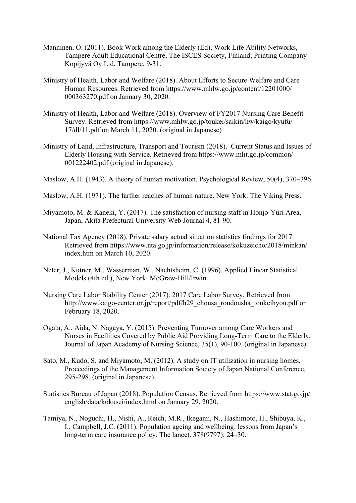- Manninen, O. (2011). Book Work among the Elderly (Ed), Work Life Ability Networks, Tampere Adult Educational Centre, The ISCES Society, Finland; Printing Company Kopijyvä Oy Ltd, Tampere, 9-31.
- Ministry of Health, Labor and Welfare (2018). About Efforts to Secure Welfare and Care Human Resources. Retrieved from https://www.mhlw.go.jp/content/12201000/ 000363270.pdf on January 30, 2020.
- Ministry of Health, Labor and Welfare (2018). Overview of FY2017 Nursing Care Benefit Survey. Retrieved from https://www.mhlw.go.jp/toukei/saikin/hw/kaigo/kyufu/ 17/dl/11.pdf on March 11, 2020. (original in Japanese)
- Ministry of Land, Infrastructure, Transport and Tourism (2018). Current Status and Issues of Elderly Housing with Service. Retrieved from https://www.mlit.go.jp/common/ 001222402.pdf (original in Japanese).
- Maslow, A.H. (1943). A theory of human motivation. Psychological Review, 50(4), 370–396.
- Maslow, A.H. (1971). The farther reaches of human nature. New York: The Viking Press.
- Miyamoto, M. & Kaneki, Y. (2017). The satisfaction of nursing staff in Honjo-Yuri Area, Japan, Akita Prefectural University Web Journal 4, 81-90.
- National Tax Agency (2018). Private salary actual situation statistics findings for 2017. Retrieved from https://www.nta.go.jp/information/release/kokuzeicho/2018/minkan/ index.htm on March 10, 2020.
- Neter, J., Kutner, M., Wasserman, W., Nachtsheim, C. (1996). Applied Linear Statistical Models (4th ed.), New York: McGraw-Hill/Irwin.
- Nursing Care Labor Stability Center (2017). 2017 Care Labor Survey, Retrieved from http://www.kaigo-center.or.jp/report/pdf/h29\_chousa\_roudousha\_toukeihyou.pdf on February 18, 2020.
- Ogata, A., Aida, N. Nagaya, Y. (2015). Preventing Turnover among Care Workers and Nurses in Facilities Covered by Public Aid Providing Long-Term Care to the Elderly, Journal of Japan Academy of Nursing Science, 35(1), 90-100. (original in Japanese).
- Sato, M., Kudo, S. and Miyamoto, M. (2012). A study on IT utilization in nursing homes, Proceedings of the Management Information Society of Japan National Conference, 295-298. (original in Japanese).
- Statistics Bureau of Japan (2018). Population Census, Retrieved from https://www.stat.go.jp/ english/data/kokusei/index.html on January 29, 2020.
- Tamiya, N., Noguchi, H., Nishi, A., Reich, M.R., Ikegami, N., Hashimoto, H., Shibuya, K., I., Campbell, J.C. (2011). Population ageing and wellbeing: lessons from Japan's long-term care insurance policy. The lancet. 378(9797): 24–30.